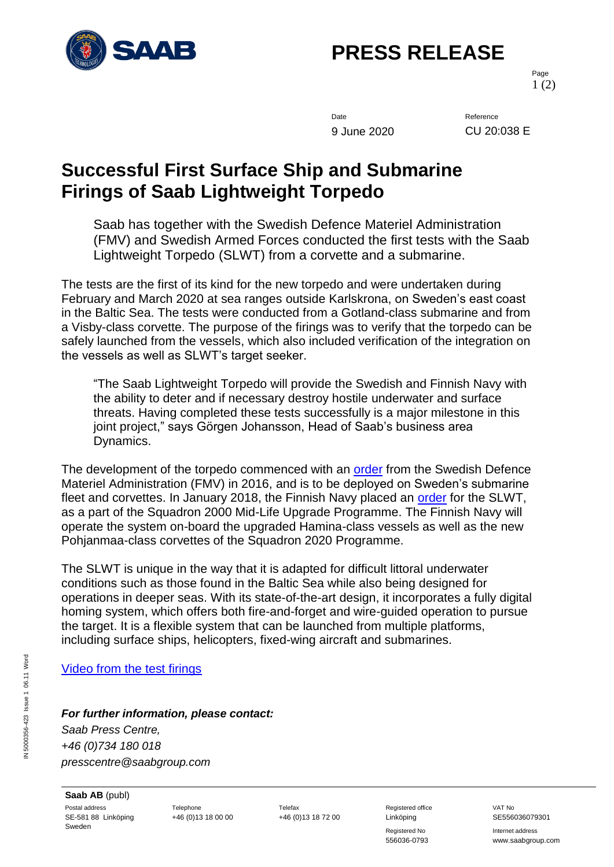

## **PRESS RELEASE**

Page 1 (2)

Date Reference 9 June 2020 CU 20:038 E

## **Successful First Surface Ship and Submarine Firings of Saab Lightweight Torpedo**

Saab has together with the Swedish Defence Materiel Administration (FMV) and Swedish Armed Forces conducted the first tests with the Saab Lightweight Torpedo (SLWT) from a corvette and a submarine.

The tests are the first of its kind for the new torpedo and were undertaken during February and March 2020 at sea ranges outside Karlskrona, on Sweden's east coast in the Baltic Sea. The tests were conducted from a Gotland-class submarine and from a Visby-class corvette. The purpose of the firings was to verify that the torpedo can be safely launched from the vessels, which also included verification of the integration on the vessels as well as SLWT's target seeker.

"The Saab Lightweight Torpedo will provide the Swedish and Finnish Navy with the ability to deter and if necessary destroy hostile underwater and surface threats. Having completed these tests successfully is a major milestone in this joint project," says Görgen Johansson, Head of Saab's business area Dynamics.

The development of the torpedo commenced with an [order](https://saabgroup.com/media/news-press/news/2016-05/saab-receives-order-from-fmv-for-development-and-production-of-new-lightweight-torpedo/) from the Swedish Defence Materiel Administration (FMV) in 2016, and is to be deployed on Sweden's submarine fleet and corvettes. In January 2018, the Finnish Navy placed an [order](https://saabgroup.com/media/news-press/news/2018-01/saab-signs-contract-for-deliveries-of-new-lightweight-torpedo-to-the-finnish-navy/) for the SLWT, as a part of the Squadron 2000 Mid-Life Upgrade Programme. The Finnish Navy will operate the system on-board the upgraded Hamina-class vessels as well as the new Pohjanmaa-class corvettes of the Squadron 2020 Programme.

The SLWT is unique in the way that it is adapted for difficult littoral underwater conditions such as those found in the Baltic Sea while also being designed for operations in deeper seas. With its state-of-the-art design, it incorporates a fully digital homing system, which offers both fire-and-forget and wire-guided operation to pursue the target. It is a flexible system that can be launched from multiple platforms, including surface ships, helicopters, fixed-wing aircraft and submarines.

[Video from the test firings](https://youtu.be/6nx81GE4buA)

*For further information, please contact:*

*Saab Press Centre, +46 (0)734 180 018 presscentre@saabgroup.com*

**Saab AB** (publ) Postal address **Telephone** Telephone Telefax Telefax Registered office VAT No SE-581 88 Linköping Sweden

Registered No **Internet address** 

556036-0793 www.saabgroup.com